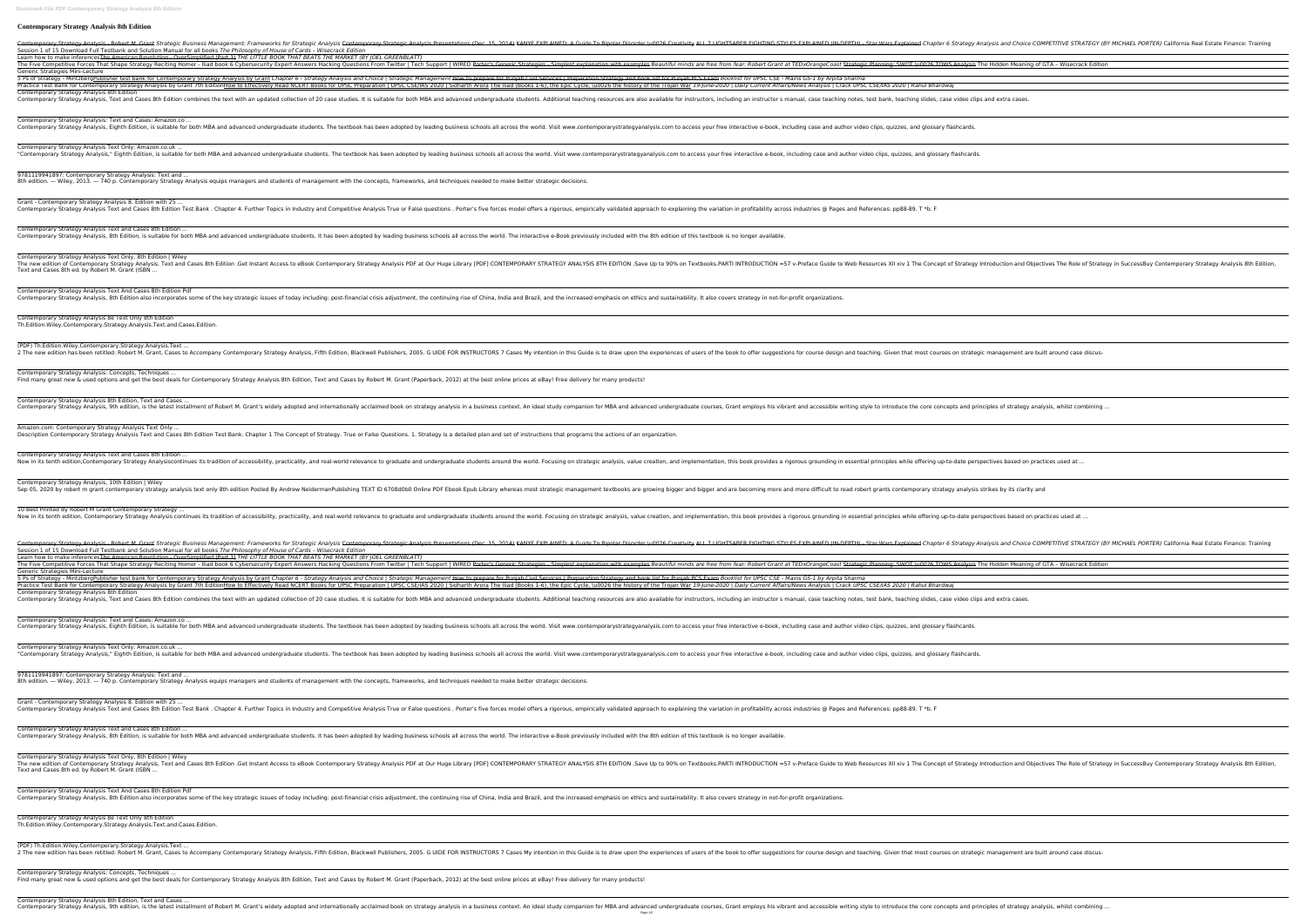## **Contemporary Strategy Analysis 8th Edition**

Contemporary Strategy Analysis - Robert M. Grant Strategic Business Management: Frameworks for Strategic Analysis Contemporary Strategic Analysis Presentations (Dec. 15, 2014) KANYE EXPLAINED (IN-DERTH) - Star Wars Explain Session 1 of 15 Download Full Testbank and Solution Manual for all books *The Philosophy of House of Cards – Wisecrack Edition* Learn how to make inferencesThe American Revolution - OverSimplified (Part 1) *THE LITTLE BOOK THAT BEATS THE MARKET (BY JOEL GREENBLATT)* The Five Competitive Forces That Shape Strategy Reciting Homer - Iliad book 6 Cybersecurity Expert Answers Hacking Questions From Twitter | Tech Support | WIRED Perter's Generic Strategies - Simplest explanation with examp Generic Strategies Mini-Lecture

5 Ps of Strategy - Mintzberg Publisher test bank for Contemporary Strategy Analysis by Grant Chapter 6 - Strategy Analysis and Choice | Strategy and book list for Punjab PCS Exam Booklist for UPSC CSE - Mains GS-1 by Arpit Practice Test Bank for Contemporary Strategy Analysis by Grant 7th EditionHow to Effectively Read NCERT Books for UPSC Preparation | UPSC CSE/IAS 2020 | Sidharth Arora The Iliad (Books 1-6), the Epic Cycle, \u0026 the hist Contemporary Strategy Analysis 8th Edition

Contemporary Strategy Analysis, Text and Cases 8th Edition combines the text with an updated collection of 20 case studies. It is suitable for instructors manual, case teaching notes, test bank, teaching slides, case video

Contemporary Strategy Analysis: Text and Cases: Amazon.co ... Contemporary Strategy Analysis, Eighth Edition, is suitable for both MBA and advanced undergraduate students. The textbook has been adopted by leading business schools all across the world. Visit www.contemporarystrategyan

Contemporary Strategy Analysis Text Only: Amazon.co.uk ... "Contemporary Strategy Analysis," Eighth Edition, is suitable for both MBA and advanced undergraduate students. The textbook has been adopted by leading business schools all across the world. Visit www.contemporarystrategy

9781119941897: Contemporary Strategy Analysis: Text and ... 8th edition. — Wiley, 2013. — 740 p. Contemporary Strategy Analysis equips managers and students of management with the concepts, frameworks, and techniques needed to make better strategic decisions.

Grant - Contemporary Strategy Analysis 8. Edition with 25 ... Contemporary Strategy Analysis Text and Cases 8th Edition Test Bank. Chapter 4. Further Topics in Industry and Competitive Analysis True or False questions. Porter's five forces model offers a rigorous, empirically validat

Contemporary Strategy Analysis Text and Cases 8th Edition ... Contemporary Strategy Analysis, 8th Edition, is suitable for both MBA and advanced undergraduate students. It has been adopted by leading business schools all across the world. The interactive e-Book previously included wi

Contemporary Strategy Analysis Text And Cases 8th Edition Pdf Contemporary Strategy Analysis, 8th Edition also incorporates some of the key strategic issues of today including: post-financial crisis adjustment, the continuing rise of China, India and Brazil, and the increased emphasi

(PDF) Th.Edition.Wiley.Contemporary.Strategy.Analysis.Text ... 2 The new edition has been retitled: Robert M. Grant, Cases to Accompany Contemporary Strategy Analysis, Fifth Edition, Blackwell Publishers, 2005. G UIDE FOR INSTRUCTORS 7 Cases My intention in this Guide is to draw upon

Contemporary Strategy Analysis: Concepts, Techniques ... Find many great new & used options and get the best deals for Contemporary Strategy Analysis 8th Edition, Text and Cases by Robert M. Grant (Paperback, 2012) at the best online prices at eBay! Free delivery for many produc

Contemporary Strategy Analysis 8th Edition, Text and Cases ... Contemporary Strategy Analysis, 9th edition, is the latest installment of Robert M. Grant's widely adopted and internationally adopted and internationally acclaimed book on strategy analysis in a business context. An ideal

Amazon.com: Contemporary Strategy Analysis Text Only ... Description Contemporary Strategy Analysis Text and Cases 8th Edition Test Bank. Chapter 1 The Concept of Strategy. True or False Questions. 1. Strategy is a detailed plan and set of instructions that programs the actions

Contemporary Strategy Analysis Text and Cases 8th Edition ... Now in its tenth edition,Contemporary Strategy Analysiscontinues its tradition of accessibility, practicality, practicality, practicality, and real-world relevance to graduate students around the world. Focusing on strateg

Contemporary Strategy Analysis, 10th Edition | Wiley Sep 05, 2020 by robert m grant contemporary strategy analysis text only 8th edition Posted By Andrew NeidermanPublishing TEXT ID 6708d0b0 Online PDF Ebook Epub Library whereas most strategic management textbooks are growin

10 Best Printed By Robert M Grant Contemporary Strategy ... Now in its tenth edition, Contemporary Strategy Analysis continues its tradition of accessibility, practicality, practicality, practicality, and real-world relevance to graduate and undergraduate and undergraduate students

Contemporary Strategy Analysis - Robert M. Grant Strategic Business Management: Frameworks for Strategic Analysis Contemporary Strategic Analysis Presentations (Dec. 15, 2014) KANYE EXPLAINED (IN-DEPTH) - Star Wars Explain Session 1 of 15 Download Full Testbank and Solution Manual for all books *The Philosophy of House of Cards – Wisecrack Edition* Learn how to make inferencesThe American Revolution - OverSimplified (Part 1) *THE LITTLE BOOK THAT BEATS THE MARKET (BY JOEL GREENBLATT)*

The Five Competitive Forces That Shape Strategy Reciting Homer - Iliad book 6 Cybersecurity Expert Answers Hacking Questions From Twitter | Tech Support | WIRED Porter's Generic Strategies - Simplest explanation with examp Generic Strategies Mini-Lecture 5 Ps of Strategy - Mintzberg Publisher test bank for Contemporary Strategy Analysis by Grant Chapter 6 - Strategy Analysis and Choice | Strategic Management How to prepare for Punjab Civil Services | Preparation Strategy a Practice Test Bank for Contemporary Strategy Analysis by Grant 7th EditionHow to Effectively Read NCERT Books for UPSC Preparation | UPSC CSE/IAS 2020 | Sidharth Arora The Iliad (Books 1-6), the Epic Cycle, \u0026 the hist Contemporary Strategy Analysis 8th Edition Contemporary Strategy Analysis, Text and Cases 8th Edition combines the text with an updated collection of 20 case studies. It is suitable for instructors manual, case teaching notes, test bank, teaching slides, case video

Contemporary Strategy Analysis Text Only, 8th Edition | Wiley The new edition of Contemporary Strategy Analysis, Text and Cases 8th Edition .Get Instant Access to eBook Contemporary Strategy Analysis PDF at Our Huge Library [PDF] CONTEMPORARY STRATEGY ANALYSIS 8TH EDITION .Save Up to Text and Cases 8th ed. by Robert M. Grant (ISBN ...

Contemporary Strategy Analysis: Text and Cases: Amazon.co ... Contemporary Strategy Analysis, Eighth Edition, is suitable for both MBA and advanced undergraduate students. The textbook has been adopted by leading business schools all across the world. Visit www.contemporarystrategyan

Contemporary Strategy Analysis 8e Text Only 8th Edition Th.Edition.Wiley.Contemporary.Strategy.Analysis.Text.and.Cases.Edition.

Contemporary Strategy Analysis Text Only: Amazon.co.uk ... "Contemporary Strategy Analysis," Eighth Edition, is suitable for both MBA and advanced undergraduate students. The textbook has been adopted by leading business schools all across the world. Visit www.contemporarystrategy

9781119941897: Contemporary Strategy Analysis: Text and ... 8th edition. — Wiley, 2013. — 740 p. Contemporary Strategy Analysis equips managers and students of management with the concepts, frameworks, and techniques needed to make better strategic decisions.

Grant - Contemporary Strategy Analysis 8. Edition with 25 ... Contemporary Strategy Analysis Text and Cases 8th Edition Test Bank. Chapter 4. Further Topics in Industry and Competitive Analysis True or False questions. Porter's five forces model offers a rigorous, empirically validat

Contemporary Strategy Analysis Text and Cases 8th Edition ... Contemporary Strategy Analysis, 8th Edition, is suitable for both MBA and advanced undergraduate students. It has been adopted by leading business schools all across the world. The interactive e-Book previously included wi

Contemporary Strategy Analysis Text And Cases 8th Edition Pdf Contemporary Strategy Analysis, 8th Edition also incorporates some of the key strategic issues of today including: post-financial crisis adjustment, the continuing rise of China, India and Brazil, and the increased emphasi

(PDF) Th.Edition.Wiley.Contemporary.Strategy.Analysis.Text ... 2 The new edition has been retitled: Robert M. Grant, Cases to Accompany Contemporary Strategy Analysis, Fifth Edition, Blackwell Publishers, 2005. G UIDE FOR INSTRUCTORS 7 Cases My intention in this Guide is to draw upon

Contemporary Strategy Analysis: Concepts, Techniques ... Find many great new & used options and get the best deals for Contemporary Strategy Analysis 8th Edition, Text and Cases by Robert M. Grant (Paperback, 2012) at the best online prices at eBay! Free delivery for many produc

Contemporary Strategy Analysis Text Only, 8th Edition | Wiley The new edition of Contemporary Strategy Analysis, Text and Cases 8th Edition .Get Instant Access to eBook Contemporary Strategy Analysis PDF at Our Huge Library [PDF] CONTEMPORARY STRATEGY ANALYSIS 8TH EDITION .Save Up to Text and Cases 8th ed. by Robert M. Grant (ISBN ...

Contemporary Strategy Analysis 8e Text Only 8th Edition Th.Edition.Wiley.Contemporary.Strategy.Analysis.Text.and.Cases.Edition.

Contemporary Strategy Analysis 8th Edition, Text and Cases ... Contemporary Strategy Analysis, 9th edition, is the latest installment of Robert M. Grant's widely adopted and internationally acclaimed book on strategy analysis in a business context. An ideal study companion for MBA and Page 1/2

| ives The Role of Strategy in SuccessBuy Contemporary Strategy Analysis 8th Edition,<br>It around case discus-<br>sis, whilst combining<br>ices used at<br>ctices used at<br>PETITIVE STRATEGY (BY MICHAEL PORTER) California Real Estate Finance: Training<br>GTA - Wisecrack Edition<br>ives The Role of Strategy in SuccessBuy Contemporary Strategy Analysis 8th Edition, | IPETITIVE STRATEGY (BY MICHAEL PORTER) California Real Estate Finance: Training |
|------------------------------------------------------------------------------------------------------------------------------------------------------------------------------------------------------------------------------------------------------------------------------------------------------------------------------------------------------------------------------|---------------------------------------------------------------------------------|
|                                                                                                                                                                                                                                                                                                                                                                              | <b>GTA - Wisecrack Edition</b>                                                  |
|                                                                                                                                                                                                                                                                                                                                                                              |                                                                                 |
|                                                                                                                                                                                                                                                                                                                                                                              |                                                                                 |
|                                                                                                                                                                                                                                                                                                                                                                              |                                                                                 |
|                                                                                                                                                                                                                                                                                                                                                                              |                                                                                 |
|                                                                                                                                                                                                                                                                                                                                                                              |                                                                                 |
|                                                                                                                                                                                                                                                                                                                                                                              |                                                                                 |
|                                                                                                                                                                                                                                                                                                                                                                              |                                                                                 |
|                                                                                                                                                                                                                                                                                                                                                                              |                                                                                 |
|                                                                                                                                                                                                                                                                                                                                                                              |                                                                                 |
|                                                                                                                                                                                                                                                                                                                                                                              |                                                                                 |
|                                                                                                                                                                                                                                                                                                                                                                              |                                                                                 |
|                                                                                                                                                                                                                                                                                                                                                                              |                                                                                 |
|                                                                                                                                                                                                                                                                                                                                                                              |                                                                                 |
|                                                                                                                                                                                                                                                                                                                                                                              |                                                                                 |
|                                                                                                                                                                                                                                                                                                                                                                              |                                                                                 |
|                                                                                                                                                                                                                                                                                                                                                                              |                                                                                 |
|                                                                                                                                                                                                                                                                                                                                                                              |                                                                                 |
|                                                                                                                                                                                                                                                                                                                                                                              |                                                                                 |
|                                                                                                                                                                                                                                                                                                                                                                              |                                                                                 |
|                                                                                                                                                                                                                                                                                                                                                                              |                                                                                 |
|                                                                                                                                                                                                                                                                                                                                                                              |                                                                                 |
|                                                                                                                                                                                                                                                                                                                                                                              |                                                                                 |
|                                                                                                                                                                                                                                                                                                                                                                              |                                                                                 |
|                                                                                                                                                                                                                                                                                                                                                                              |                                                                                 |
|                                                                                                                                                                                                                                                                                                                                                                              |                                                                                 |
|                                                                                                                                                                                                                                                                                                                                                                              |                                                                                 |
|                                                                                                                                                                                                                                                                                                                                                                              |                                                                                 |
|                                                                                                                                                                                                                                                                                                                                                                              |                                                                                 |
|                                                                                                                                                                                                                                                                                                                                                                              |                                                                                 |
|                                                                                                                                                                                                                                                                                                                                                                              |                                                                                 |
|                                                                                                                                                                                                                                                                                                                                                                              |                                                                                 |
|                                                                                                                                                                                                                                                                                                                                                                              |                                                                                 |
|                                                                                                                                                                                                                                                                                                                                                                              |                                                                                 |
|                                                                                                                                                                                                                                                                                                                                                                              |                                                                                 |
|                                                                                                                                                                                                                                                                                                                                                                              |                                                                                 |
|                                                                                                                                                                                                                                                                                                                                                                              |                                                                                 |
|                                                                                                                                                                                                                                                                                                                                                                              |                                                                                 |
|                                                                                                                                                                                                                                                                                                                                                                              |                                                                                 |
|                                                                                                                                                                                                                                                                                                                                                                              |                                                                                 |
|                                                                                                                                                                                                                                                                                                                                                                              |                                                                                 |
|                                                                                                                                                                                                                                                                                                                                                                              |                                                                                 |
|                                                                                                                                                                                                                                                                                                                                                                              |                                                                                 |
|                                                                                                                                                                                                                                                                                                                                                                              |                                                                                 |